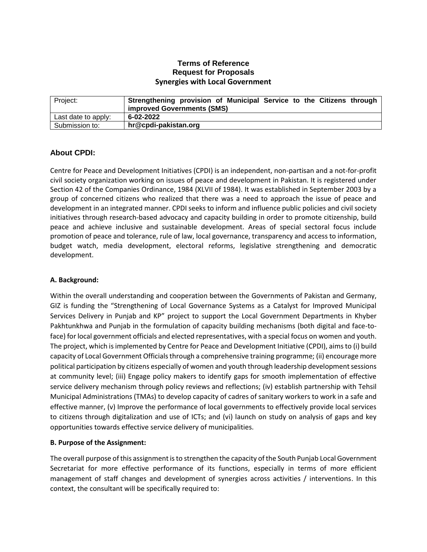### **Terms of Reference Request for Proposals Synergies with Local Government**

| Project:            | Strengthening provision of Municipal Service to the Citizens through<br><b>improved Governments (SMS)</b> |
|---------------------|-----------------------------------------------------------------------------------------------------------|
| Last date to apply: | 6-02-2022                                                                                                 |
| Submission to:      | hr@cpdi-pakistan.org                                                                                      |

#### **About CPDI:**

Centre for Peace and Development Initiatives (CPDI) is an independent, non-partisan and a not-for-profit civil society organization working on issues of peace and development in Pakistan. It is registered under Section 42 of the Companies Ordinance, 1984 (XLVII of 1984). It was established in September 2003 by a group of concerned citizens who realized that there was a need to approach the issue of peace and development in an integrated manner. CPDI seeks to inform and influence public policies and civil society initiatives through research-based advocacy and capacity building in order to promote citizenship, build peace and achieve inclusive and sustainable development. Areas of special sectoral focus include promotion of peace and tolerance, rule of law, local governance, transparency and access to information, budget watch, media development, electoral reforms, legislative strengthening and democratic development.

#### **A. Background:**

Within the overall understanding and cooperation between the Governments of Pakistan and Germany, GIZ is funding the "Strengthening of Local Governance Systems as a Catalyst for Improved Municipal Services Delivery in Punjab and KP" project to support the Local Government Departments in Khyber Pakhtunkhwa and Punjab in the formulation of capacity building mechanisms (both digital and face-toface) for local government officials and elected representatives, with a special focus on women and youth. The project, which is implemented by Centre for Peace and Development Initiative (CPDI), aimsto (i) build capacity of Local Government Officials through a comprehensive training programme; (ii) encourage more political participation by citizens especially of women and youth through leadership development sessions at community level; (iii) Engage policy makers to identify gaps for smooth implementation of effective service delivery mechanism through policy reviews and reflections; (iv) establish partnership with Tehsil Municipal Administrations (TMAs) to develop capacity of cadres of sanitary workers to work in a safe and effective manner, (v) Improve the performance of local governments to effectively provide local services to citizens through digitalization and use of ICTs; and (vi) launch on study on analysis of gaps and key opportunities towards effective service delivery of municipalities.

#### **B. Purpose of the Assignment:**

The overall purpose of this assignment is to strengthen the capacity of the South Punjab Local Government Secretariat for more effective performance of its functions, especially in terms of more efficient management of staff changes and development of synergies across activities / interventions. In this context, the consultant will be specifically required to: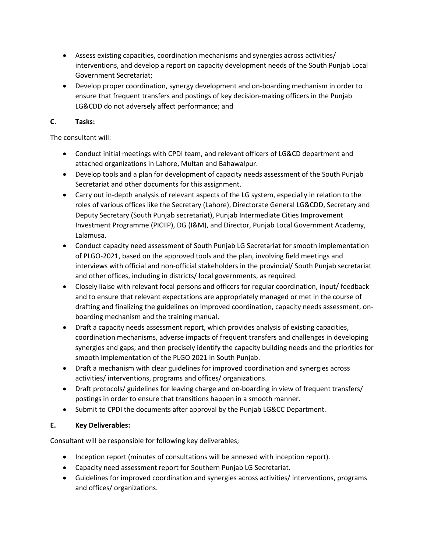- Assess existing capacities, coordination mechanisms and synergies across activities/ interventions, and develop a report on capacity development needs of the South Punjab Local Government Secretariat;
- Develop proper coordination, synergy development and on-boarding mechanism in order to ensure that frequent transfers and postings of key decision-making officers in the Punjab LG&CDD do not adversely affect performance; and

## **C**. **Tasks:**

The consultant will:

- Conduct initial meetings with CPDI team, and relevant officers of LG&CD department and attached organizations in Lahore, Multan and Bahawalpur.
- Develop tools and a plan for development of capacity needs assessment of the South Punjab Secretariat and other documents for this assignment.
- Carry out in-depth analysis of relevant aspects of the LG system, especially in relation to the roles of various offices like the Secretary (Lahore), Directorate General LG&CDD, Secretary and Deputy Secretary (South Punjab secretariat), Punjab Intermediate Cities Improvement Investment Programme (PICIIP), DG (I&M), and Director, Punjab Local Government Academy, Lalamusa.
- Conduct capacity need assessment of South Punjab LG Secretariat for smooth implementation of PLGO-2021, based on the approved tools and the plan, involving field meetings and interviews with official and non-official stakeholders in the provincial/ South Punjab secretariat and other offices, including in districts/ local governments, as required.
- Closely liaise with relevant focal persons and officers for regular coordination, input/ feedback and to ensure that relevant expectations are appropriately managed or met in the course of drafting and finalizing the guidelines on improved coordination, capacity needs assessment, onboarding mechanism and the training manual.
- Draft a capacity needs assessment report, which provides analysis of existing capacities, coordination mechanisms, adverse impacts of frequent transfers and challenges in developing synergies and gaps; and then precisely identify the capacity building needs and the priorities for smooth implementation of the PLGO 2021 in South Punjab.
- Draft a mechanism with clear guidelines for improved coordination and synergies across activities/ interventions, programs and offices/ organizations.
- Draft protocols/ guidelines for leaving charge and on-boarding in view of frequent transfers/ postings in order to ensure that transitions happen in a smooth manner.
- Submit to CPDI the documents after approval by the Punjab LG&CC Department.

# **E. Key Deliverables:**

Consultant will be responsible for following key deliverables;

- Inception report (minutes of consultations will be annexed with inception report).
- Capacity need assessment report for Southern Punjab LG Secretariat.
- Guidelines for improved coordination and synergies across activities/ interventions, programs and offices/ organizations.